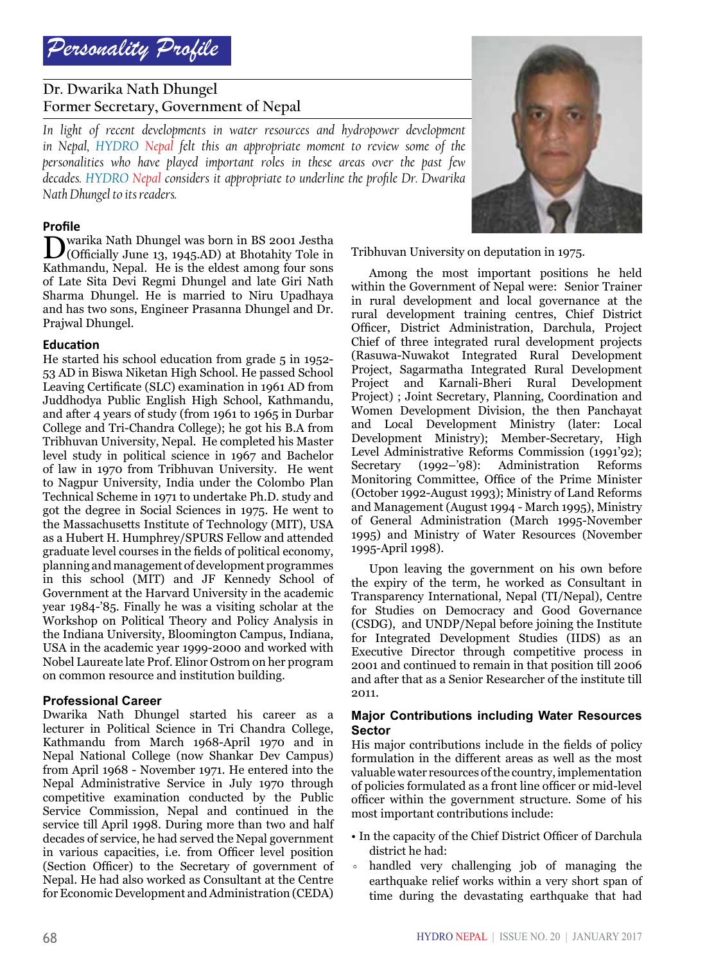

# **Dr. Dwarika Nath Dhungel Former Secretary, Government of Nepal**

*In light of recent developments in water resources and hydropower development in Nepal, HYDRO Nepal felt this an appropriate moment to review some of the personalities who have played important roles in these areas over the past few decades. HYDRO Nepal considers it appropriate to underline the profile Dr. Dwarika Nath Dhungel to its readers.*

## **Profile**

Dwarika Nath Dhungel was born in BS 2001 Jestha<br>
(Officially June 13, 1945.AD) at Bhotahity Tole in<br>
Wether and Mural Hart and the same forms and Kathmandu, Nepal. He is the eldest among four sons of Late Sita Devi Regmi Dhungel and late Giri Nath Sharma Dhungel. He is married to Niru Upadhaya and has two sons, Engineer Prasanna Dhungel and Dr. Prajwal Dhungel.

### **Education**

He started his school education from grade 5 in 1952- 53 AD in Biswa Niketan High School. He passed School Leaving Certificate (SLC) examination in 1961 AD from Juddhodya Public English High School, Kathmandu, and after 4 years of study (from 1961 to 1965 in Durbar College and Tri-Chandra College); he got his B.A from Tribhuvan University, Nepal. He completed his Master level study in political science in 1967 and Bachelor of law in 1970 from Tribhuvan University. He went to Nagpur University, India under the Colombo Plan Technical Scheme in 1971 to undertake Ph.D. study and got the degree in Social Sciences in 1975. He went to the Massachusetts Institute of Technology (MIT), USA as a Hubert H. Humphrey/SPURS Fellow and attended graduate level courses in the fields of political economy, planning and management of development programmes in this school (MIT) and JF Kennedy School of Government at the Harvard University in the academic year 1984-'85. Finally he was a visiting scholar at the Workshop on Political Theory and Policy Analysis in the Indiana University, Bloomington Campus, Indiana, USA in the academic year 1999-2000 and worked with Nobel Laureate late Prof. Elinor Ostrom on her program on common resource and institution building.

## **Professional Career**

Dwarika Nath Dhungel started his career as a lecturer in Political Science in Tri Chandra College, Kathmandu from March 1968-April 1970 and in Nepal National College (now Shankar Dev Campus) from April 1968 - November 1971. He entered into the Nepal Administrative Service in July 1970 through competitive examination conducted by the Public Service Commission, Nepal and continued in the service till April 1998. During more than two and half decades of service, he had served the Nepal government in various capacities, i.e. from Officer level position (Section Officer) to the Secretary of government of Nepal. He had also worked as Consultant at the Centre for Economic Development and Administration (CEDA)



Tribhuvan University on deputation in 1975.

Among the most important positions he held within the Government of Nepal were: Senior Trainer in rural development and local governance at the rural development training centres, Chief District Officer, District Administration, Darchula, Project Chief of three integrated rural development projects (Rasuwa-Nuwakot Integrated Rural Development Project, Sagarmatha Integrated Rural Development Project and Karnali-Bheri Rural Development Project) ; Joint Secretary, Planning, Coordination and Women Development Division, the then Panchayat and Local Development Ministry (later: Local Development Ministry); Member-Secretary, High Level Administrative Reforms Commission (1991'92); Secretary (1992–'98): Administration Reforms Monitoring Committee, Office of the Prime Minister (October 1992-August 1993); Ministry of Land Reforms and Management (August 1994 - March 1995), Ministry of General Administration (March 1995-November 1995) and Ministry of Water Resources (November 1995-April 1998).

Upon leaving the government on his own before the expiry of the term, he worked as Consultant in Transparency International, Nepal (TI/Nepal), Centre for Studies on Democracy and Good Governance (CSDG), and UNDP/Nepal before joining the Institute for Integrated Development Studies (IIDS) as an Executive Director through competitive process in 2001 and continued to remain in that position till 2006 and after that as a Senior Researcher of the institute till 2011.

### **Major Contributions including Water Resources Sector**

His major contributions include in the fields of policy formulation in the different areas as well as the most valuable water resources of the country, implementation of policies formulated as a front line officer or mid-level officer within the government structure. Some of his most important contributions include:

- In the capacity of the Chief District Officer of Darchula district he had:
- handled very challenging job of managing the earthquake relief works within a very short span of time during the devastating earthquake that had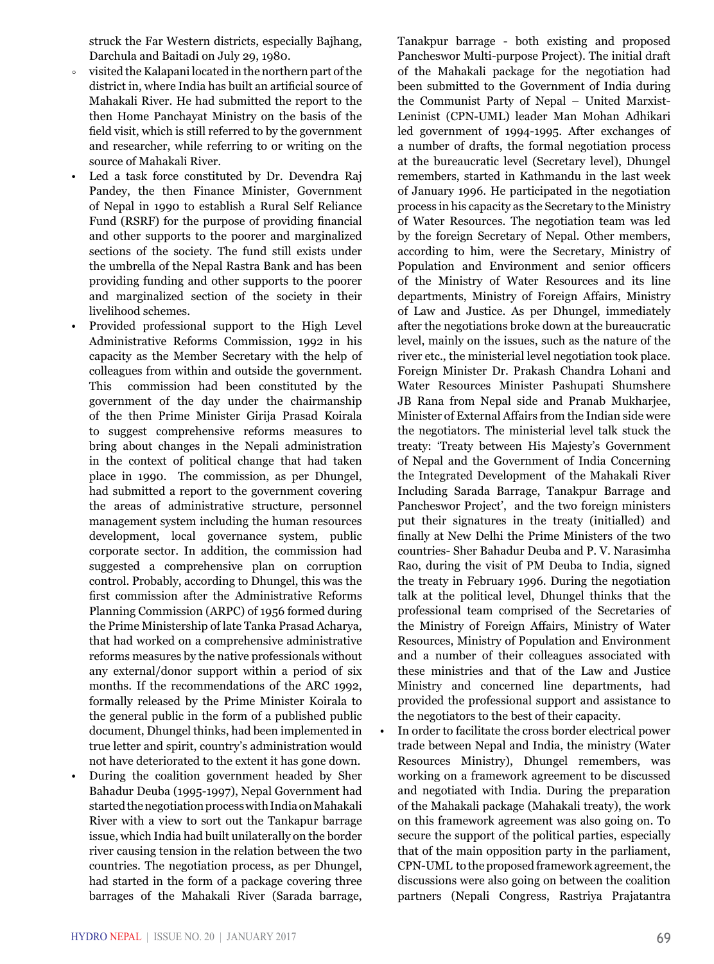struck the Far Western districts, especially Bajhang, Darchula and Baitadi on July 29, 1980.

- $\circ$ visited the Kalapani located in the northern part of the district in, where India has built an artificial source of Mahakali River. He had submitted the report to the then Home Panchayat Ministry on the basis of the field visit, which is still referred to by the government and researcher, while referring to or writing on the source of Mahakali River.
- Led a task force constituted by Dr. Devendra Raj Pandey, the then Finance Minister, Government of Nepal in 1990 to establish a Rural Self Reliance Fund (RSRF) for the purpose of providing financial and other supports to the poorer and marginalized sections of the society. The fund still exists under the umbrella of the Nepal Rastra Bank and has been providing funding and other supports to the poorer and marginalized section of the society in their livelihood schemes.
- Provided professional support to the High Level Administrative Reforms Commission, 1992 in his capacity as the Member Secretary with the help of colleagues from within and outside the government. This commission had been constituted by the government of the day under the chairmanship of the then Prime Minister Girija Prasad Koirala to suggest comprehensive reforms measures to bring about changes in the Nepali administration in the context of political change that had taken place in 1990. The commission, as per Dhungel, had submitted a report to the government covering the areas of administrative structure, personnel management system including the human resources development, local governance system, public corporate sector. In addition, the commission had suggested a comprehensive plan on corruption control. Probably, according to Dhungel, this was the first commission after the Administrative Reforms Planning Commission (ARPC) of 1956 formed during the Prime Ministership of late Tanka Prasad Acharya, that had worked on a comprehensive administrative reforms measures by the native professionals without any external/donor support within a period of six months. If the recommendations of the ARC 1992, formally released by the Prime Minister Koirala to the general public in the form of a published public document, Dhungel thinks, had been implemented in true letter and spirit, country's administration would not have deteriorated to the extent it has gone down. • During the coalition government headed by Sher Bahadur Deuba (1995-1997), Nepal Government had started the negotiation process with India on Mahakali River with a view to sort out the Tankapur barrage issue, which India had built unilaterally on the border

Tanakpur barrage - both existing and proposed Pancheswor Multi-purpose Project). The initial draft of the Mahakali package for the negotiation had been submitted to the Government of India during the Communist Party of Nepal – United Marxist-Leninist (CPN-UML) leader Man Mohan Adhikari led government of 1994-1995. After exchanges of a number of drafts, the formal negotiation process at the bureaucratic level (Secretary level), Dhungel remembers, started in Kathmandu in the last week of January 1996. He participated in the negotiation process in his capacity as the Secretary to the Ministry of Water Resources. The negotiation team was led by the foreign Secretary of Nepal. Other members, according to him, were the Secretary, Ministry of Population and Environment and senior officers of the Ministry of Water Resources and its line departments, Ministry of Foreign Affairs, Ministry of Law and Justice. As per Dhungel, immediately after the negotiations broke down at the bureaucratic level, mainly on the issues, such as the nature of the river etc., the ministerial level negotiation took place. Foreign Minister Dr. Prakash Chandra Lohani and Water Resources Minister Pashupati Shumshere JB Rana from Nepal side and Pranab Mukharjee, Minister of External Affairs from the Indian side were the negotiators. The ministerial level talk stuck the treaty: 'Treaty between His Majesty's Government of Nepal and the Government of India Concerning the Integrated Development of the Mahakali River Including Sarada Barrage, Tanakpur Barrage and Pancheswor Project', and the two foreign ministers put their signatures in the treaty (initialled) and finally at New Delhi the Prime Ministers of the two countries- Sher Bahadur Deuba and P. V. Narasimha Rao, during the visit of PM Deuba to India, signed the treaty in February 1996. During the negotiation talk at the political level, Dhungel thinks that the professional team comprised of the Secretaries of the Ministry of Foreign Affairs, Ministry of Water Resources, Ministry of Population and Environment and a number of their colleagues associated with these ministries and that of the Law and Justice Ministry and concerned line departments, had provided the professional support and assistance to the negotiators to the best of their capacity.

• In order to facilitate the cross border electrical power trade between Nepal and India, the ministry (Water Resources Ministry), Dhungel remembers, was working on a framework agreement to be discussed and negotiated with India. During the preparation of the Mahakali package (Mahakali treaty), the work on this framework agreement was also going on. To secure the support of the political parties, especially that of the main opposition party in the parliament, CPN-UML to the proposed framework agreement, the discussions were also going on between the coalition partners (Nepali Congress, Rastriya Prajatantra

river causing tension in the relation between the two countries. The negotiation process, as per Dhungel, had started in the form of a package covering three barrages of the Mahakali River (Sarada barrage,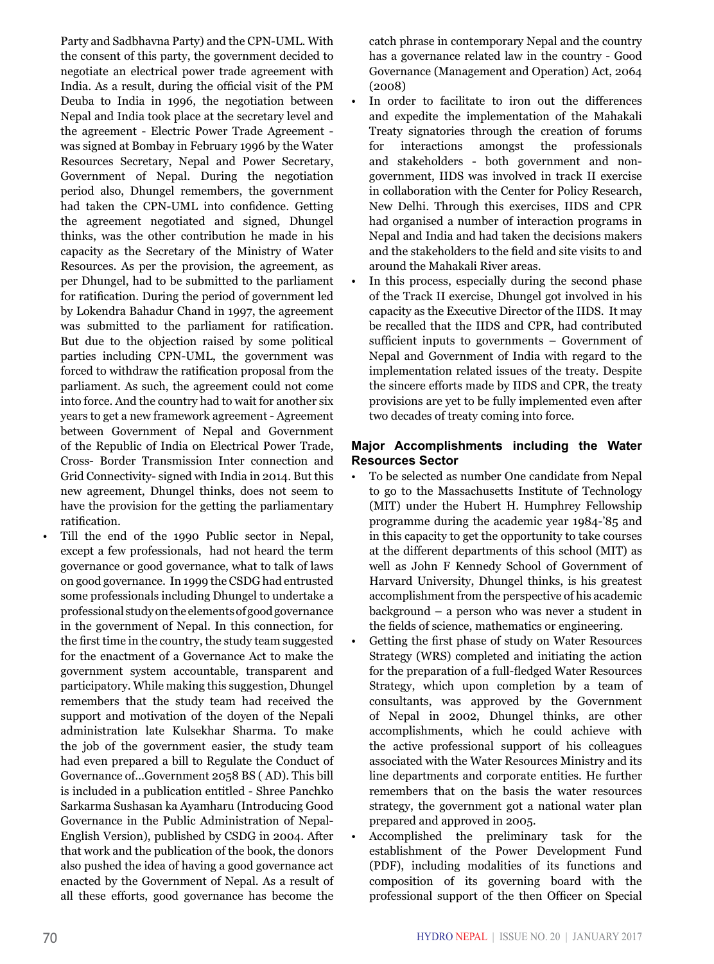Party and Sadbhavna Party) and the CPN-UML. With the consent of this party, the government decided to negotiate an electrical power trade agreement with India. As a result, during the official visit of the PM Deuba to India in 1996, the negotiation between Nepal and India took place at the secretary level and the agreement - Electric Power Trade Agreement was signed at Bombay in February 1996 by the Water Resources Secretary, Nepal and Power Secretary, Government of Nepal. During the negotiation period also, Dhungel remembers, the government had taken the CPN-UML into confidence. Getting the agreement negotiated and signed, Dhungel thinks, was the other contribution he made in his capacity as the Secretary of the Ministry of Water Resources. As per the provision, the agreement, as per Dhungel, had to be submitted to the parliament for ratification. During the period of government led by Lokendra Bahadur Chand in 1997, the agreement was submitted to the parliament for ratification. But due to the objection raised by some political parties including CPN-UML, the government was forced to withdraw the ratification proposal from the parliament. As such, the agreement could not come into force. And the country had to wait for another six years to get a new framework agreement - Agreement between Government of Nepal and Government of the Republic of India on Electrical Power Trade, Cross- Border Transmission Inter connection and Grid Connectivity- signed with India in 2014. But this new agreement, Dhungel thinks, does not seem to have the provision for the getting the parliamentary ratification.

• Till the end of the 1990 Public sector in Nepal, except a few professionals, had not heard the term governance or good governance, what to talk of laws on good governance. In 1999 the CSDG had entrusted some professionals including Dhungel to undertake a professional study on the elements of good governance in the government of Nepal. In this connection, for the first time in the country, the study team suggested for the enactment of a Governance Act to make the government system accountable, transparent and participatory. While making this suggestion, Dhungel remembers that the study team had received the support and motivation of the doyen of the Nepali administration late Kulsekhar Sharma. To make the job of the government easier, the study team had even prepared a bill to Regulate the Conduct of Governance of…Government 2058 BS ( AD). This bill is included in a publication entitled - Shree Panchko Sarkarma Sushasan ka Ayamharu (Introducing Good Governance in the Public Administration of Nepal-English Version), published by CSDG in 2004. After that work and the publication of the book, the donors also pushed the idea of having a good governance act enacted by the Government of Nepal. As a result of all these efforts, good governance has become the

catch phrase in contemporary Nepal and the country has a governance related law in the country - Good Governance (Management and Operation) Act, 2064 (2008)

- In order to facilitate to iron out the differences and expedite the implementation of the Mahakali Treaty signatories through the creation of forums for interactions amongst the professionals and stakeholders - both government and nongovernment, IIDS was involved in track II exercise in collaboration with the Center for Policy Research, New Delhi. Through this exercises, IIDS and CPR had organised a number of interaction programs in Nepal and India and had taken the decisions makers and the stakeholders to the field and site visits to and around the Mahakali River areas.
- In this process, especially during the second phase of the Track II exercise, Dhungel got involved in his capacity as the Executive Director of the IIDS. It may be recalled that the IIDS and CPR, had contributed sufficient inputs to governments – Government of Nepal and Government of India with regard to the implementation related issues of the treaty. Despite the sincere efforts made by IIDS and CPR, the treaty provisions are yet to be fully implemented even after two decades of treaty coming into force.

## **Major Accomplishments including the Water Resources Sector**

- To be selected as number One candidate from Nepal to go to the Massachusetts Institute of Technology (MIT) under the Hubert H. Humphrey Fellowship programme during the academic year 1984-'85 and in this capacity to get the opportunity to take courses at the different departments of this school (MIT) as well as John F Kennedy School of Government of Harvard University, Dhungel thinks, is his greatest accomplishment from the perspective of his academic background – a person who was never a student in the fields of science, mathematics or engineering.
- Getting the first phase of study on Water Resources Strategy (WRS) completed and initiating the action for the preparation of a full-fledged Water Resources Strategy, which upon completion by a team of consultants, was approved by the Government of Nepal in 2002, Dhungel thinks, are other accomplishments, which he could achieve with the active professional support of his colleagues associated with the Water Resources Ministry and its line departments and corporate entities. He further remembers that on the basis the water resources strategy, the government got a national water plan prepared and approved in 2005.
- Accomplished the preliminary task for the establishment of the Power Development Fund (PDF), including modalities of its functions and composition of its governing board with the professional support of the then Officer on Special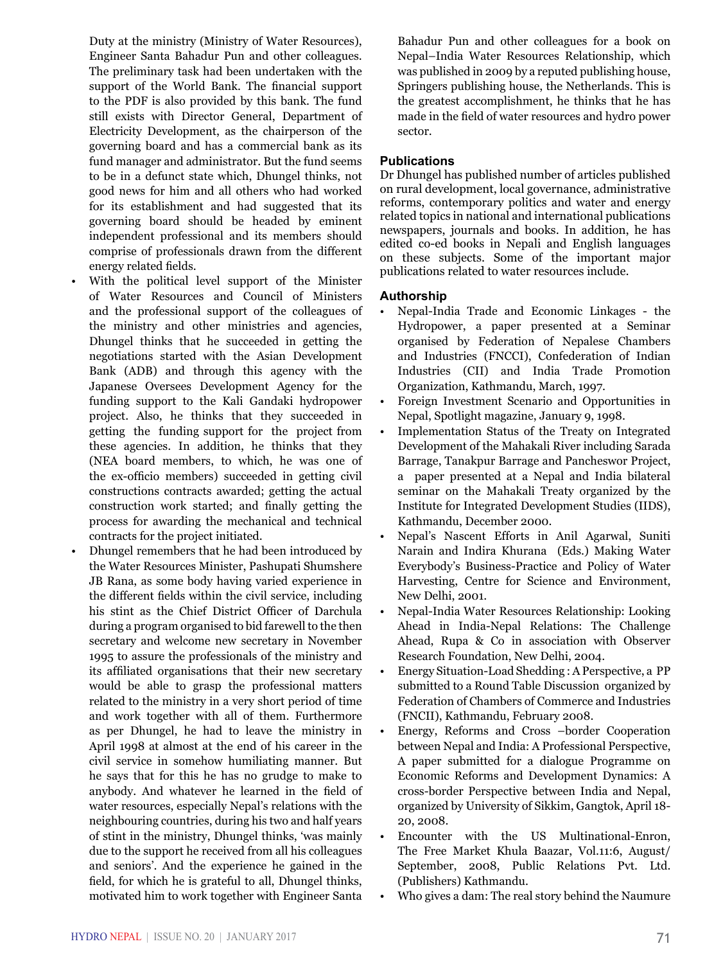Duty at the ministry (Ministry of Water Resources), Engineer Santa Bahadur Pun and other colleagues. The preliminary task had been undertaken with the support of the World Bank. The financial support to the PDF is also provided by this bank. The fund still exists with Director General, Department of Electricity Development, as the chairperson of the governing board and has a commercial bank as its fund manager and administrator. But the fund seems to be in a defunct state which, Dhungel thinks, not good news for him and all others who had worked for its establishment and had suggested that its governing board should be headed by eminent independent professional and its members should comprise of professionals drawn from the different energy related fields.

- With the political level support of the Minister of Water Resources and Council of Ministers and the professional support of the colleagues of the ministry and other ministries and agencies, Dhungel thinks that he succeeded in getting the negotiations started with the Asian Development Bank (ADB) and through this agency with the Japanese Oversees Development Agency for the funding support to the Kali Gandaki hydropower project. Also, he thinks that they succeeded in getting the funding support for the project from these agencies. In addition, he thinks that they (NEA board members, to which, he was one of the ex-officio members) succeeded in getting civil constructions contracts awarded; getting the actual construction work started; and finally getting the process for awarding the mechanical and technical contracts for the project initiated.
- Dhungel remembers that he had been introduced by the Water Resources Minister, Pashupati Shumshere JB Rana, as some body having varied experience in the different fields within the civil service, including his stint as the Chief District Officer of Darchula during a program organised to bid farewell to the then secretary and welcome new secretary in November 1995 to assure the professionals of the ministry and its affiliated organisations that their new secretary would be able to grasp the professional matters related to the ministry in a very short period of time and work together with all of them. Furthermore as per Dhungel, he had to leave the ministry in April 1998 at almost at the end of his career in the civil service in somehow humiliating manner. But he says that for this he has no grudge to make to anybody. And whatever he learned in the field of water resources, especially Nepal's relations with the neighbouring countries, during his two and half years of stint in the ministry, Dhungel thinks, 'was mainly due to the support he received from all his colleagues and seniors'. And the experience he gained in the field, for which he is grateful to all, Dhungel thinks, motivated him to work together with Engineer Santa

Bahadur Pun and other colleagues for a book on Nepal–India Water Resources Relationship, which was published in 2009 by a reputed publishing house, Springers publishing house, the Netherlands. This is the greatest accomplishment, he thinks that he has made in the field of water resources and hydro power sector.

### **Publications**

Dr Dhungel has published number of articles published on rural development, local governance, administrative reforms, contemporary politics and water and energy related topics in national and international publications newspapers, journals and books. In addition, he has edited co-ed books in Nepali and English languages on these subjects. Some of the important major publications related to water resources include.

### **Authorship**

- Nepal-India Trade and Economic Linkages the Hydropower, a paper presented at a Seminar organised by Federation of Nepalese Chambers and Industries (FNCCI), Confederation of Indian Industries (CII) and India Trade Promotion Organization, Kathmandu, March, 1997.
- Foreign Investment Scenario and Opportunities in Nepal, Spotlight magazine, January 9, 1998.
- Implementation Status of the Treaty on Integrated Development of the Mahakali River including Sarada Barrage, Tanakpur Barrage and Pancheswor Project, a paper presented at a Nepal and India bilateral seminar on the Mahakali Treaty organized by the Institute for Integrated Development Studies (IIDS), Kathmandu, December 2000.
- Nepal's Nascent Efforts in Anil Agarwal, Suniti Narain and Indira Khurana (Eds.) Making Water Everybody's Business-Practice and Policy of Water Harvesting, Centre for Science and Environment, New Delhi, 2001.
- Nepal-India Water Resources Relationship: Looking Ahead in India-Nepal Relations: The Challenge Ahead, Rupa & Co in association with Observer Research Foundation, New Delhi, 2004.
- Energy Situation-Load Shedding : A Perspective, a PP submitted to a Round Table Discussion organized by Federation of Chambers of Commerce and Industries (FNCII), Kathmandu, February 2008.
- Energy, Reforms and Cross –border Cooperation between Nepal and India: A Professional Perspective, A paper submitted for a dialogue Programme on Economic Reforms and Development Dynamics: A cross-border Perspective between India and Nepal, organized by University of Sikkim, Gangtok, April 18- 20, 2008.
- Encounter with the US Multinational-Enron, The Free Market Khula Baazar, Vol.11:6, August/ September, 2008, Public Relations Pvt. Ltd. (Publishers) Kathmandu.
- Who gives a dam: The real story behind the Naumure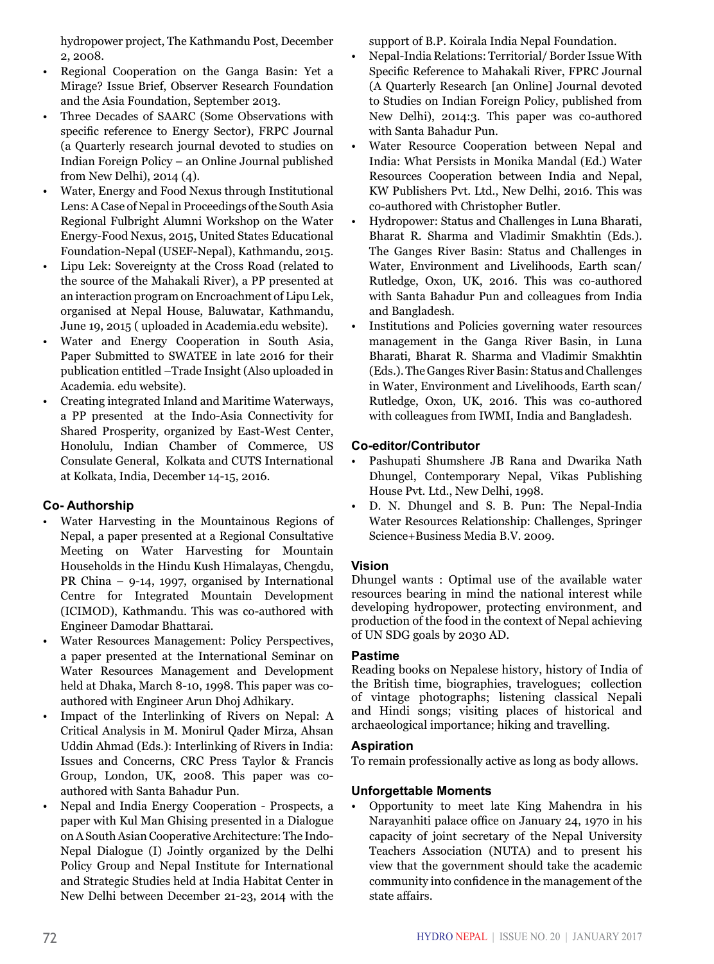hydropower project, The Kathmandu Post, December 2, 2008.

- Regional Cooperation on the Ganga Basin: Yet a Mirage? Issue Brief, Observer Research Foundation and the Asia Foundation, September 2013.
- Three Decades of SAARC (Some Observations with specific reference to Energy Sector), FRPC Journal (a Quarterly research journal devoted to studies on Indian Foreign Policy – an Online Journal published from New Delhi), 2014 (4).
- Water, Energy and Food Nexus through Institutional Lens: A Case of Nepal in Proceedings of the South Asia Regional Fulbright Alumni Workshop on the Water Energy-Food Nexus, 2015, United States Educational Foundation-Nepal (USEF-Nepal), Kathmandu, 2015.
- Lipu Lek: Sovereignty at the Cross Road (related to the source of the Mahakali River), a PP presented at an interaction program on Encroachment of Lipu Lek, organised at Nepal House, Baluwatar, Kathmandu, June 19, 2015 ( uploaded in Academia.edu website).
- Water and Energy Cooperation in South Asia, Paper Submitted to SWATEE in late 2016 for their publication entitled –Trade Insight (Also uploaded in Academia. edu website).
- Creating integrated Inland and Maritime Waterways, a PP presented at the Indo-Asia Connectivity for Shared Prosperity, organized by East-West Center, Honolulu, Indian Chamber of Commerce, US Consulate General, Kolkata and CUTS International at Kolkata, India, December 14-15, 2016.

## **Co- Authorship**

- Water Harvesting in the Mountainous Regions of Nepal, a paper presented at a Regional Consultative Meeting on Water Harvesting for Mountain Households in the Hindu Kush Himalayas, Chengdu, PR China – 9-14, 1997, organised by International Centre for Integrated Mountain Development (ICIMOD), Kathmandu. This was co-authored with Engineer Damodar Bhattarai.
- Water Resources Management: Policy Perspectives, a paper presented at the International Seminar on Water Resources Management and Development held at Dhaka, March 8-10, 1998. This paper was coauthored with Engineer Arun Dhoj Adhikary.
- Impact of the Interlinking of Rivers on Nepal: A Critical Analysis in M. Monirul Qader Mirza, Ahsan Uddin Ahmad (Eds.): Interlinking of Rivers in India: Issues and Concerns, CRC Press Taylor & Francis Group, London, UK, 2008. This paper was coauthored with Santa Bahadur Pun.
- Nepal and India Energy Cooperation Prospects, a paper with Kul Man Ghising presented in a Dialogue on A South Asian Cooperative Architecture: The Indo-Nepal Dialogue (I) Jointly organized by the Delhi Policy Group and Nepal Institute for International and Strategic Studies held at India Habitat Center in New Delhi between December 21-23, 2014 with the

support of B.P. Koirala India Nepal Foundation.

- Nepal-India Relations: Territorial/ Border Issue With Specific Reference to Mahakali River, FPRC Journal (A Quarterly Research [an Online] Journal devoted to Studies on Indian Foreign Policy, published from New Delhi), 2014:3. This paper was co-authored with Santa Bahadur Pun.
- Water Resource Cooperation between Nepal and India: What Persists in Monika Mandal (Ed.) Water Resources Cooperation between India and Nepal, KW Publishers Pvt. Ltd., New Delhi, 2016. This was co-authored with Christopher Butler.
- Hydropower: Status and Challenges in Luna Bharati, Bharat R. Sharma and Vladimir Smakhtin (Eds.). The Ganges River Basin: Status and Challenges in Water, Environment and Livelihoods, Earth scan/ Rutledge, Oxon, UK, 2016. This was co-authored with Santa Bahadur Pun and colleagues from India and Bangladesh.
- Institutions and Policies governing water resources management in the Ganga River Basin, in Luna Bharati, Bharat R. Sharma and Vladimir Smakhtin (Eds.). The Ganges River Basin: Status and Challenges in Water, Environment and Livelihoods, Earth scan/ Rutledge, Oxon, UK, 2016. This was co-authored with colleagues from IWMI, India and Bangladesh.

## **Co-editor/Contributor**

- Pashupati Shumshere JB Rana and Dwarika Nath Dhungel, Contemporary Nepal, Vikas Publishing House Pvt. Ltd., New Delhi, 1998.
- D. N. Dhungel and S. B. Pun: The Nepal-India Water Resources Relationship: Challenges, Springer Science+Business Media B.V. 2009.

## **Vision**

Dhungel wants : Optimal use of the available water resources bearing in mind the national interest while developing hydropower, protecting environment, and production of the food in the context of Nepal achieving of UN SDG goals by 2030 AD.

## **Pastime**

Reading books on Nepalese history, history of India of the British time, biographies, travelogues; collection of vintage photographs; listening classical Nepali and Hindi songs; visiting places of historical and archaeological importance; hiking and travelling.

## **Aspiration**

To remain professionally active as long as body allows.

## **Unforgettable Moments**

• Opportunity to meet late King Mahendra in his Narayanhiti palace office on January 24, 1970 in his capacity of joint secretary of the Nepal University Teachers Association (NUTA) and to present his view that the government should take the academic community into confidence in the management of the state affairs.